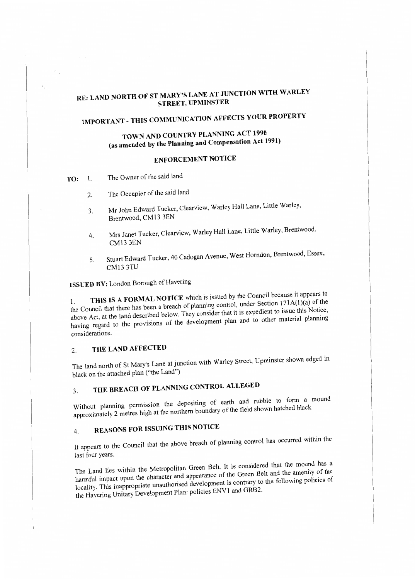# **RE: LAND NORTH OF ST MARY'S LANE AT JUNCTION WITH WARLEY STREET, UPMINSTER**

# **IMPORTANT- THIS COMMUNICATION AFFECTS YOUR PROPERTY**

# **TOWN AND COUNTRY PLANNING ACT 1990 (as amended by the Planning and Compensation Act 1991)**

## **ENFORCEMENT NOTICE**

- **TO:** l. The Owner of the said land
	- 2. The Occupier of the said land
	- Mr John Edward Tucker, Clearview, Warley Hall Lane, Little Warley, 3. Brentwood, CM13 3EN
	- Mrs Janet Tucker, Clearview, Warley Hall Lane, Little Warley, Brentwood, 4. CMI3 3EN
	- Stuart Edward Tucker, 40 Cadogan Avenue, West Homdon, Brentwood, Essex, 5. CM13 3TU

**ISSUED BY:** London Borough of Havering

1. **THIS IS A FORMAL NOTICE** which is issued by the Council because it appears to the Council that there has been a breach of planning control, under Section 171A(l)(a) of the above Act, at the land described below. They consider that it is expedient to issue this Notice, having regard to the provisions of the development plan and to other material planning considerations.

## 2. **THE LAND AFFECTED**

The land north of St Mary's Lane at junction with Warley Street, Upminster shown edged in black on the attached plan ("the Land")

# 3. **THE BREACH OF PLANNING CONTROL ALLEGED**

Without planning permission the depositing of earth and rubble to form a mound approximately 2 metres high at the northern boundary of the field shown hatched black

# 4. **REASONS FOR ISSUING THIS NOTICE**

It appears to the Council that the above breach of planning control has occurred within the last four years.

The Land lies within the Metropolitan Green Belt. It is considered that the mound has a harmful impact upon the character and appearance of the Green Belt and the amenity of the locality. This inappropriate unauthorised development is contrary to the following policies of the Havering Unitary Development Plan; policies ENVl and GRB2.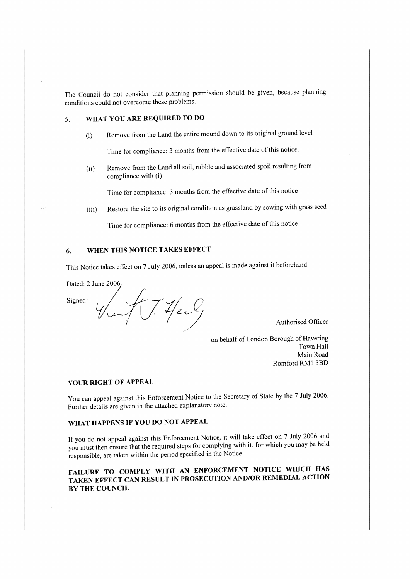The Council do not consider that planning permission should be given, because planning conditions could not overcome these problems.

## 5. **WHAT YOU ARE REQUIRED TO DO**

(i) Remove from the Land the entire mound down to its original ground level

Time for compliance: 3 months from the effective date of this notice.

(ii) Remove from the Land all soil, rubble and associated spoil resulting from compliance with (i)

Time for compliance: 3 months from the effective date of this notice

(iii) Restore the site to its original condition as grassland by sowing with grass seed

Time for compliance: 6 months from the effective date of this notice

#### 6. **WHEN THIS NOTICE TAKES EFFECT**

This Notice takes effect on 7 July 2006, unless an appeal is made against it beforehand

Signed:

Dated: 2 June 2006  $(74)$ 

Authorised Officer

on behalf of London Borough of Havering Town Hall Main Road Romford RM1 3BD

#### **YOUR RIGHT OF APPEAL**

You can appeal against this Enforcement Notice to the Secretary of State by the 7 July 2006. Further details are given in the attached explanatory note.

## **WHAT HAPPENS IF YOU DO NOT APPEAL**

If you do not appeal against this Enforcement Notice, it will take effect on 7 July 2006 and you must then ensure that the required steps for complying with it, for which you may be held responsible, are taken within the period specified in the Notice.

**FAILURE TO COMPLY WITH AN ENFORCEMENT NOTICE WHICH HAS TAKEN EFFECT CAN RESULT IN PROSECUTION AND/OR REMEDIAL ACTION BY THE COUNCIL**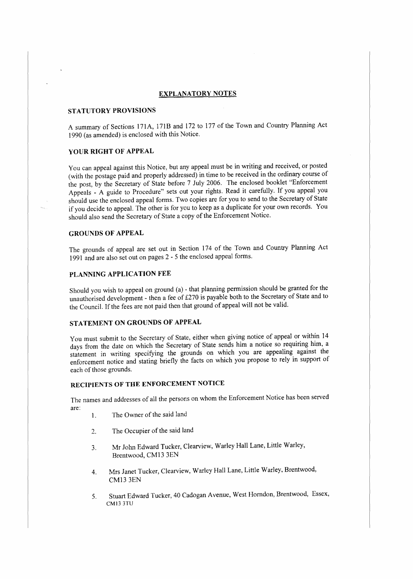#### **EXPLANATORY NOTES**

### **STATUTORY PROVISIONS**

A summary of Sections 171A, 171B and 172 to 177 of the Town and Country Planning Act 1990 (as amended) is enclosed with this Notice.

#### **YOUR RIGHT OF APPEAL**

You can appeal against this Notice, but any appeal must be in writing and received, or posted (with the postage paid and properly addressed) in time to be received in the ordinary course of the post, by the Secretary of State before 7 July 2006. The enclosed booklet "Enforcement Appeals - A guide to Procedure" sets out your rights. Read it carefully. If you appeal you should use the enclosed appeal forms. Two copies are for you to send to the Secretary of State if you decide to appeal. The other is for you to keep as a duplicate for your own records. You should also send the Secretary of State a copy of the Enforcement Notice.

#### **GROUNDS OF APPEAL**

The grounds of appeal are set out in Section 174 of the Town and Country Planning Act 1991 and are also set out on pages 2 - 5 the enclosed appeal forms.

#### **PLANNING APPLICATION FEE**

Should you wish to appeal on ground (a) - that planning permission should be granted for the unauthorised development - then a fee of £270 is payable both to the Secretary of State and to the Council. If the fees are not paid then that ground of appeal will not be valid.

### **STATEMENT ON GROUNDS OF APPEAL**

You must submit to the Secretary of State, either when giving notice of appeal or within 14 days from the date on which the Secretary of State sends him a notice so requiring him, a statement in writing specifying the grounds on which you are appealing against the enforcement notice and stating briefly the facts on which you propose to rely in support of each of those grounds.

### **RECIPIENTS OF THE ENFORCEMENT NOTICE**

The names and addresses of all the persons on whom the Enforcement Notice has been served are:

- l. The Owner of the said land
- 2. The Occupier of the said land
- Mr John Edward Tucker, Clearview, Warley Hall Lane, Little Warley, 3. Brentwood, CM13 3EN
- Mrs Janet Tucker, Clearview, Warley Hall Lane, Little Warley, Brentwood, 4. CM13 3EN
- 5. Stuart Edward Tucker, 40 Cadogan Avenue, West Horndon, Brentwood, Essex, CM13 3TU